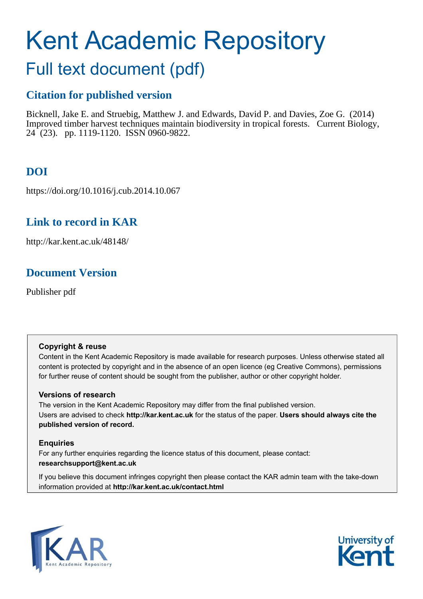# Kent Academic Repository

# Full text document (pdf)

## **Citation for published version**

Bicknell, Jake E. and Struebig, Matthew J. and Edwards, David P. and Davies, Zoe G. (2014) Improved timber harvest techniques maintain biodiversity in tropical forests. Current Biology, 24 (23). pp. 1119-1120. ISSN 0960-9822.

# **DOI**

https://doi.org/10.1016/j.cub.2014.10.067

## **Link to record in KAR**

http://kar.kent.ac.uk/48148/

## **Document Version**

Publisher pdf

## **Copyright & reuse**

Content in the Kent Academic Repository is made available for research purposes. Unless otherwise stated all content is protected by copyright and in the absence of an open licence (eg Creative Commons), permissions for further reuse of content should be sought from the publisher, author or other copyright holder.

## **Versions of research**

The version in the Kent Academic Repository may differ from the final published version. Users are advised to check **http://kar.kent.ac.uk** for the status of the paper. **Users should always cite the published version of record.**

## **Enquiries**

For any further enquiries regarding the licence status of this document, please contact: **researchsupport@kent.ac.uk**

If you believe this document infringes copyright then please contact the KAR admin team with the take-down information provided at **http://kar.kent.ac.uk/contact.html**



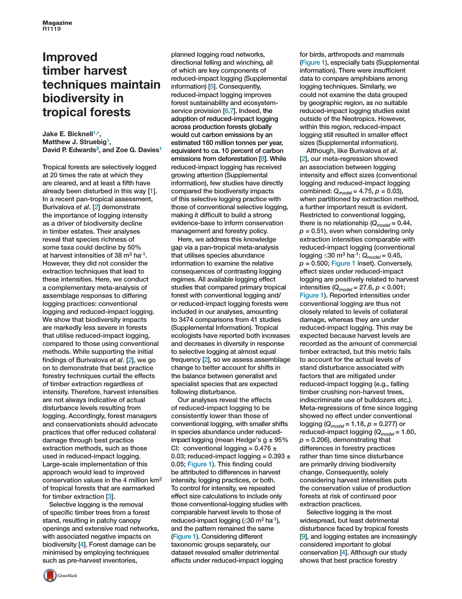## <span id="page-1-0"></span>**Improved timber harvest techniques maintain biodiversity in tropical forests**

**Jake E. Bicknell1,** \***, Matthew J. Struebig<sup>1</sup> , David P. Edwards<sup>2</sup> , and Zoe G. Davies<sup>1</sup>**

Tropical forests are selectively logged at 20 times the rate at which they are cleared, and at least a fifth have already been disturbed in this way [1]. In a recent pan-tropical assessment, Burivalova *et al*. [2] demonstrate the importance of logging intensity as a driver of biodiversity decline in timber estates. Their analyses reveal that species richness of some taxa could decline by 50% at harvest intensities of 38  $\mathrm{m}^{3}$  ha<sup>-1</sup>. However, they did not consider the extraction techniques that lead to these intensities. Here, we conduct a complementary meta-analysis of assemblage responses to differing logging practices: conventional logging and reduced-impact logging. We show that biodiversity impacts are markedly less severe in forests that utilise reduced-impact logging. compared to those using conventional methods. While supporting the initial findings of Burivalova *et al*. [2], we go on to demonstrate that best practice forestry techniques curtail the effects of timber extraction regardless of intensity. Therefore, harvest intensities are not always indicative of actual disturbance levels resulting from logging. Accordingly, forest managers and conservationists should advocate practices that offer reduced collateral damage through best practice extraction methods, such as those used in reduced-impact logging. Large-scale implementation of this approach would lead to improved conservation values in the 4 million km<sup>2</sup> of tropical forests that are earmarked for timber extraction [3].

Selective logging is the removal of specific timber trees from a forest stand, resulting in patchy canopy openings and extensive road networks, with associated negative impacts on biodiversity [4]. Forest damage can be minimised by employing techniques such as pre-harvest inventories,

planned logging road networks, directional felling and winching, all of which are key components of reduced-impact logging (Supplemental information) [5]. Consequently, reduced-impact logging improves forest sustainability and ecosystemservice provision [6,7]. Indeed, the adoption of reduced-impact logging across production forests globally would cut carbon emissions by an estimated 160 million tonnes per year, equivalent to ca. 10 percent of carbon emissions from deforestation [8]. While reduced-impact logging has received growing attention (Supplemental information), few studies have directly compared the biodiversity impacts of this selective logging practice with those of conventional selective logging, making it difficult to build a strong evidence-base to inform conservation management and forestry policy.

Here, we address this knowledge gap via a pan-tropical meta-analysis that utilises species abundance information to examine the relative consequences of contrasting logging regimes. All available logging effect studies that compared primary tropical forest with conventional logging and/ or reduced-impact logging forests were included in our analyses, amounting to 3474 comparisons from 41 studies (Supplemental Information). Tropical ecologists have reported both increases and decreases in diversity in response to selective logging at almost equal frequency [2], so we assess assemblage change to better account for shifts in the balance between generalist and specialist species that are expected following disturbance.

Our analyses reveal the effects of reduced-impact logging to be consistently lower than those of conventional logging, with smaller shifts in species abundance under reducedimpact logging (mean Hedge's  $g \pm 95\%$ CI: conventional logging =  $0.476 \pm$ 0.03; reduced-impact logging =  $0.393 \pm$ 0.05; Figure 1). This finding could be attributed to differences in harvest intensity, logging practices, or both. To control for intensity, we repeated effect size calculations to include only those conventional-logging studies with comparable harvest levels to those of reduced-impact logging (≤30 m<sup>3</sup> ha<sup>-1</sup>), and the pattern remained the same (Figure 1). Considering different taxonomic groups separately, our dataset revealed smaller detrimental effects under reduced-impact logging

for birds, arthropods and mammals (Figure 1), especially bats (Supplemental information). There were insufficient data to compare amphibians among logging techniques. Similarly, we could not examine the data grouped by geographic region, as no suitable reduced-impact logging studies exist outside of the Neotropics. However, within this region, reduced-impact logging still resulted in smaller effect sizes (Supplemental information).

Although, like Burivalova *et al*. [2], our meta-regression showed an association between logging intensity and effect sizes (conventional logging and reduced-impact logging combined: *Qmodel* = 4.75, *p* = 0.03), when partitioned by extraction method, a further important result is evident. Restricted to conventional logging, there is no relationship  $(Q_{model} = 0.44,$  $p = 0.51$ ), even when considering only extraction intensities comparable with reduced-impact logging (conventional logging ≤30 m<sup>3</sup> ha-1: *Qmodel* = 0.45,  $p = 0.500$ ; Figure 1 inset). Conversely, effect sizes under reduced-impact logging are positively related to harvest intensities (*Qmodel* = 27.6, *p* < 0.001; Figure 1). Reported intensities under conventional logging are thus not closely related to levels of collateral damage, whereas they are under reduced-impact logging. This may be expected because harvest levels are recorded as the amount of commercial timber extracted, but this metric fails to account for the actual levels of stand disturbance associated with factors that are mitigated under reduced-impact logging (e.g., falling timber crushing non-harvest trees, indiscriminate use of bulldozers etc.). Meta-regressions of time since logging showed no effect under conventional logging (*Qmodel* = 1.18, *p* = 0.277) or reduced-impact logging (*Qmodel* = 1.60,  $p = 0.206$ , demonstrating that differences in forestry practices rather than time since disturbance are primarily driving biodiversity change. Consequently, solely considering harvest intensities puts the conservation value of production forests at risk of continued poor extraction practices.

Selective logging is the most widespread, but least detrimental disturbance faced by tropical forests [9], and logging estates are increasingly considered important to global conservation [4]. Although our study shows that best practice forestry